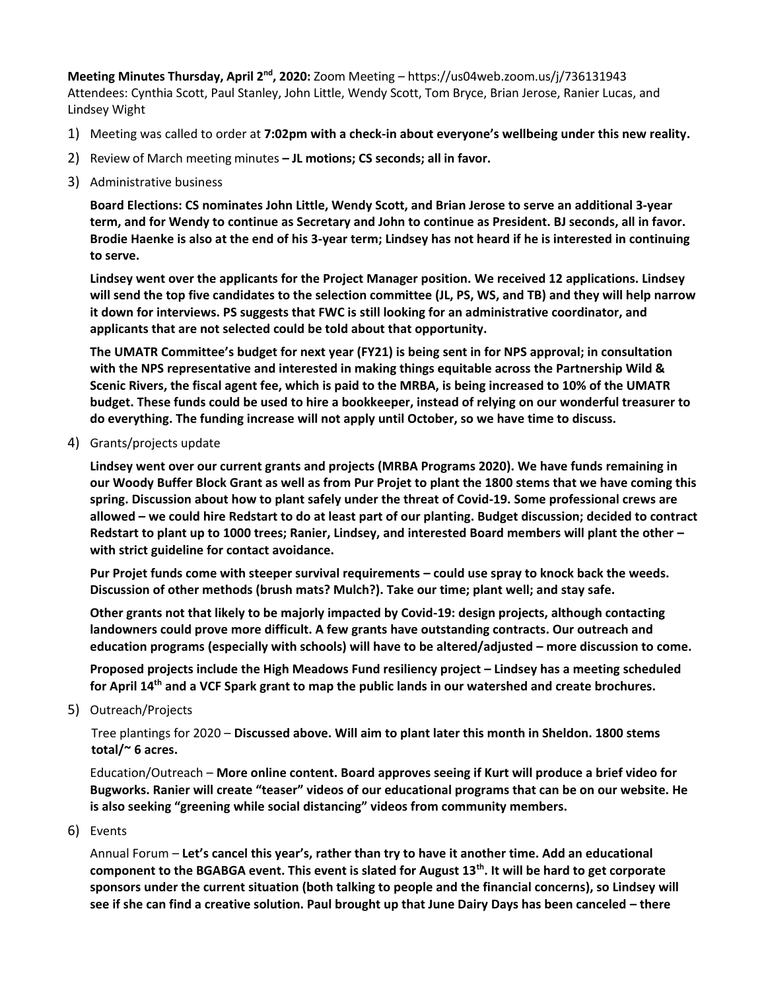**Meeting Minutes Thursday, April 2nd , 2020:** Zoom Meeting – https://us04web.zoom.us/j/736131943 Attendees: Cynthia Scott, Paul Stanley, John Little, Wendy Scott, Tom Bryce, Brian Jerose, Ranier Lucas, and Lindsey Wight

- 1) Meeting was called to order at **7:02pm with a check-in about everyone's wellbeing under this new reality.**
- 2) Review of March meeting minutes **– JL motions; CS seconds; all in favor.**
- 3) Administrative business

**Board Elections: CS nominates John Little, Wendy Scott, and Brian Jerose to serve an additional 3-year term, and for Wendy to continue as Secretary and John to continue as President. BJ seconds, all in favor. Brodie Haenke is also at the end of his 3-year term; Lindsey has not heard if he is interested in continuing to serve.** 

**Lindsey went over the applicants for the Project Manager position. We received 12 applications. Lindsey will send the top five candidates to the selection committee (JL, PS, WS, and TB) and they will help narrow it down for interviews. PS suggests that FWC is still looking for an administrative coordinator, and applicants that are not selected could be told about that opportunity.** 

**The UMATR Committee's budget for next year (FY21) is being sent in for NPS approval; in consultation with the NPS representative and interested in making things equitable across the Partnership Wild & Scenic Rivers, the fiscal agent fee, which is paid to the MRBA, is being increased to 10% of the UMATR budget. These funds could be used to hire a bookkeeper, instead of relying on our wonderful treasurer to do everything. The funding increase will not apply until October, so we have time to discuss.**

4) Grants/projects update

**Lindsey went over our current grants and projects (MRBA Programs 2020). We have funds remaining in our Woody Buffer Block Grant as well as from Pur Projet to plant the 1800 stems that we have coming this spring. Discussion about how to plant safely under the threat of Covid-19. Some professional crews are allowed – we could hire Redstart to do at least part of our planting. Budget discussion; decided to contract Redstart to plant up to 1000 trees; Ranier, Lindsey, and interested Board members will plant the other – with strict guideline for contact avoidance.** 

**Pur Projet funds come with steeper survival requirements – could use spray to knock back the weeds. Discussion of other methods (brush mats? Mulch?). Take our time; plant well; and stay safe.** 

**Other grants not that likely to be majorly impacted by Covid-19: design projects, although contacting landowners could prove more difficult. A few grants have outstanding contracts. Our outreach and education programs (especially with schools) will have to be altered/adjusted – more discussion to come.** 

**Proposed projects include the High Meadows Fund resiliency project – Lindsey has a meeting scheduled for April 14th and a VCF Spark grant to map the public lands in our watershed and create brochures.**

5) Outreach/Projects

Tree plantings for 2020 – **Discussed above. Will aim to plant later this month in Sheldon. 1800 stems total/~ 6 acres.**

Education/Outreach – **More online content. Board approves seeing if Kurt will produce a brief video for Bugworks. Ranier will create "teaser" videos of our educational programs that can be on our website. He is also seeking "greening while social distancing" videos from community members.**

6) Events

Annual Forum – **Let's cancel this year's, rather than try to have it another time. Add an educational component to the BGABGA event. This event is slated for August 13th. It will be hard to get corporate sponsors under the current situation (both talking to people and the financial concerns), so Lindsey will see if she can find a creative solution. Paul brought up that June Dairy Days has been canceled – there**